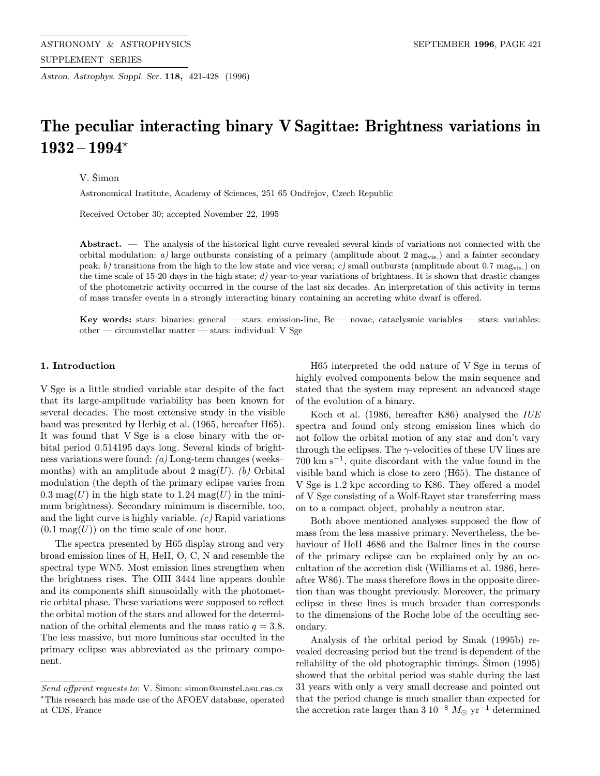Astron. Astrophys. Suppl. Ser. 118, 421-428 (1996)

# The peculiar interacting binary V Sagittae: Brightness variations in  $1932 - 1994*$

V. Šimon

Astronomical Institute, Academy of Sciences, 251 65 Ondřejov, Czech Republic

Received October 30; accepted November 22, 1995

Abstract. — The analysis of the historical light curve revealed several kinds of variations not connected with the orbital modulation: a) large outbursts consisting of a primary (amplitude about 2 mag<sub>vis</sub>.) and a fainter secondary peak; b) transitions from the high to the low state and vice versa; c) small outbursts (amplitude about 0.7 mag<sub>vis.</sub>) on the time scale of 15-20 days in the high state; d) year-to-year variations of brightness. It is shown that drastic changes of the photometric activity occurred in the course of the last six decades. An interpretation of this activity in terms of mass transfer events in a strongly interacting binary containing an accreting white dwarf is offered.

Key words: stars: binaries: general — stars: emission-line,  $Be$  — novae, cataclysmic variables — stars: variables: other — circumstellar matter — stars: individual: V Sge

## 1. Introduction

V Sge is a little studied variable star despite of the fact that its large-amplitude variability has been known for several decades. The most extensive study in the visible band was presented by Herbig et al. (1965, hereafter H65). It was found that V Sge is a close binary with the orbital period 0.514195 days long. Several kinds of brightness variations were found: (a) Long-term changes (weeks– months) with an amplitude about  $2 \text{ mag}(U)$ . (b) Orbital modulation (the depth of the primary eclipse varies from 0.3 mag(U) in the high state to 1.24 mag(U) in the minimum brightness). Secondary minimum is discernible, too, and the light curve is highly variable.  $(c)$  Rapid variations  $(0.1 \text{ mag}(U))$  on the time scale of one hour.

The spectra presented by H65 display strong and very broad emission lines of H, HeII, O, C, N and resemble the spectral type WN5. Most emission lines strengthen when the brightness rises. The OIII 3444 line appears double and its components shift sinusoidally with the photometric orbital phase. These variations were supposed to reflect the orbital motion of the stars and allowed for the determination of the orbital elements and the mass ratio  $q = 3.8$ . The less massive, but more luminous star occulted in the primary eclipse was abbreviated as the primary component.

H65 interpreted the odd nature of V Sge in terms of highly evolved components below the main sequence and stated that the system may represent an advanced stage of the evolution of a binary.

Koch et al. (1986, hereafter K86) analysed the IUE spectra and found only strong emission lines which do not follow the orbital motion of any star and don't vary through the eclipses. The  $\gamma$ -velocities of these UV lines are  $700 \text{ km s}^{-1}$ , quite discordant with the value found in the visible band which is close to zero (H65). The distance of V Sge is 1.2 kpc according to K86. They offered a model of V Sge consisting of a Wolf-Rayet star transferring mass on to a compact object, probably a neutron star.

Both above mentioned analyses supposed the flow of mass from the less massive primary. Nevertheless, the behaviour of HeII 4686 and the Balmer lines in the course of the primary eclipse can be explained only by an occultation of the accretion disk (Williams et al. 1986, hereafter W86). The mass therefore flows in the opposite direction than was thought previously. Moreover, the primary eclipse in these lines is much broader than corresponds to the dimensions of the Roche lobe of the occulting secondary.

Analysis of the orbital period by Smak (1995b) revealed decreasing period but the trend is dependent of the reliability of the old photographic timings. Simon  $(1995)$ showed that the orbital period was stable during the last 31 years with only a very small decrease and pointed out that the period change is much smaller than expected for the accretion rate larger than 3 10<sup>-8</sup>  $M_{\odot}$  yr<sup>-1</sup> determined

Send offprint requests to: V. Šimon: simon@sunstel.asu.cas.cz ?This research has made use of the AFOEV database, operated at CDS, France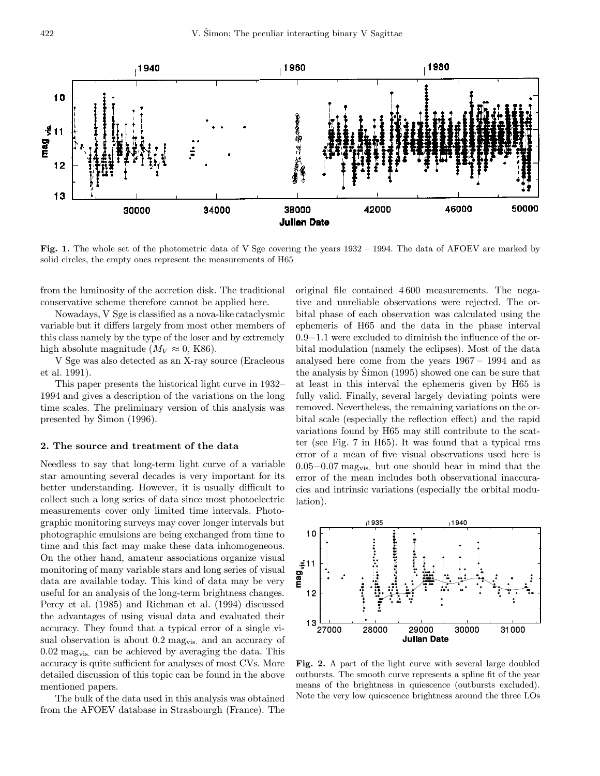

Fig. 1. The whole set of the photometric data of V Sge covering the years 1932 – 1994. The data of AFOEV are marked by solid circles, the empty ones represent the measurements of H65

from the luminosity of the accretion disk. The traditional conservative scheme therefore cannot be applied here.

Nowadays, V Sge is classified as a nova-like cataclysmic variable but it differs largely from most other members of this class namely by the type of the loser and by extremely high absolute magnitude  $(M_V \approx 0, K86)$ .

V Sge was also detected as an X-ray source (Eracleous et al. 1991).

This paper presents the historical light curve in 1932– 1994 and gives a description of the variations on the long time scales. The preliminary version of this analysis was presented by  $\mathrm{Simon}$  (1996).

## 2. The source and treatment of the data

Needless to say that long-term light curve of a variable star amounting several decades is very important for its better understanding. However, it is usually difficult to collect such a long series of data since most photoelectric measurements cover only limited time intervals. Photographic monitoring surveys may cover longer intervals but photographic emulsions are being exchanged from time to time and this fact may make these data inhomogeneous. On the other hand, amateur associations organize visual monitoring of many variable stars and long series of visual data are available today. This kind of data may be very useful for an analysis of the long-term brightness changes. Percy et al. (1985) and Richman et al. (1994) discussed the advantages of using visual data and evaluated their accuracy. They found that a typical error of a single visual observation is about 0.2 mag<sub>vis</sub> and an accuracy of  $0.02 \text{ mag}$ <sub>vis.</sub> can be achieved by averaging the data. This accuracy is quite sufficient for analyses of most CVs. More detailed discussion of this topic can be found in the above mentioned papers.

The bulk of the data used in this analysis was obtained from the AFOEV database in Strasbourgh (France). The original file contained 4 600 measurements. The negative and unreliable observations were rejected. The orbital phase of each observation was calculated using the ephemeris of H65 and the data in the phase interval 0.9−1.1 were excluded to diminish the influence of the orbital modulation (namely the eclipses). Most of the data analysed here come from the years 1967 – 1994 and as the analysis by  $\mathrm{Simon}$  (1995) showed one can be sure that at least in this interval the ephemeris given by H65 is fully valid. Finally, several largely deviating points were removed. Nevertheless, the remaining variations on the orbital scale (especially the reflection effect) and the rapid variations found by H65 may still contribute to the scatter (see Fig. 7 in H65). It was found that a typical rms error of a mean of five visual observations used here is 0.05−0.07 magvis. but one should bear in mind that the error of the mean includes both observational inaccuracies and intrinsic variations (especially the orbital modulation).



Fig. 2. A part of the light curve with several large doubled outbursts. The smooth curve represents a spline fit of the year means of the brightness in quiescence (outbursts excluded). Note the very low quiescence brightness around the three LOs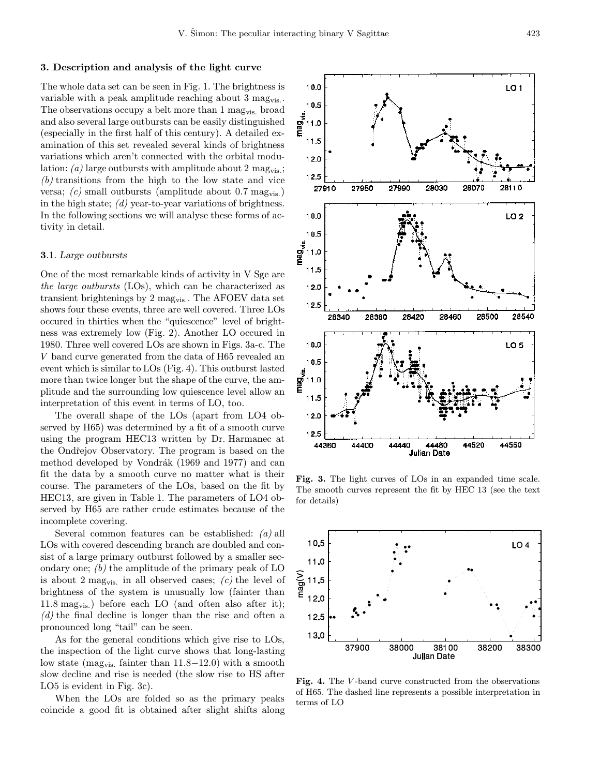## 3. Description and analysis of the light curve

The whole data set can be seen in Fig. 1. The brightness is variable with a peak amplitude reaching about  $3 \text{ mag}$ <sub>vis</sub>. The observations occupy a belt more than 1 magvis. broad and also several large outbursts can be easily distinguished (especially in the first half of this century). A detailed examination of this set revealed several kinds of brightness variations which aren't connected with the orbital modulation: (*a*) large outbursts with amplitude about 2 mag<sub>vis.</sub>; (b) transitions from the high to the low state and vice versa;  $(c)$  small outbursts (amplitude about 0.7 mag<sub>vis.</sub>) in the high state;  $(d)$  year-to-year variations of brightness. In the following sections we will analyse these forms of activity in detail.

#### 3.1. Large outbursts

One of the most remarkable kinds of activity in V Sge are the large outbursts (LOs), which can be characterized as transient brightenings by 2 magvis.. The AFOEV data set shows four these events, three are well covered. Three LOs occured in thirties when the "quiescence" level of brightness was extremely low (Fig. 2). Another LO occured in 1980. Three well covered LOs are shown in Figs. 3a-c. The V band curve generated from the data of H65 revealed an event which is similar to LOs (Fig. 4). This outburst lasted more than twice longer but the shape of the curve, the amplitude and the surrounding low quiescence level allow an interpretation of this event in terms of LO, too.

The overall shape of the LOs (apart from LO4 observed by H65) was determined by a fit of a smooth curve using the program HEC13 written by Dr. Harmanec at the Ondřejov Observatory. The program is based on the method developed by Vondrák (1969 and 1977) and can fit the data by a smooth curve no matter what is their course. The parameters of the LOs, based on the fit by HEC13, are given in Table 1. The parameters of LO4 observed by H65 are rather crude estimates because of the incomplete covering.

Several common features can be established: (a) all LOs with covered descending branch are doubled and consist of a large primary outburst followed by a smaller secondary one;  $(b)$  the amplitude of the primary peak of LO is about 2 mag<sub>vis</sub> in all observed cases;  $(c)$  the level of brightness of the system is unusually low (fainter than 11.8 mag<sub>vis</sub>.) before each LO (and often also after it);  $(d)$  the final decline is longer than the rise and often a pronounced long "tail" can be seen.

As for the general conditions which give rise to LOs, the inspection of the light curve shows that long-lasting low state (magvis. fainter than 11.8−12.0) with a smooth slow decline and rise is needed (the slow rise to HS after LO5 is evident in Fig. 3c).

When the LOs are folded so as the primary peaks coincide a good fit is obtained after slight shifts along

Fig. 3. The light curves of LOs in an expanded time scale. The smooth curves represent the fit by HEC 13 (see the text for details)

Fig. 4. The V-band curve constructed from the observations of H65. The dashed line represents a possible interpretation in terms of LO



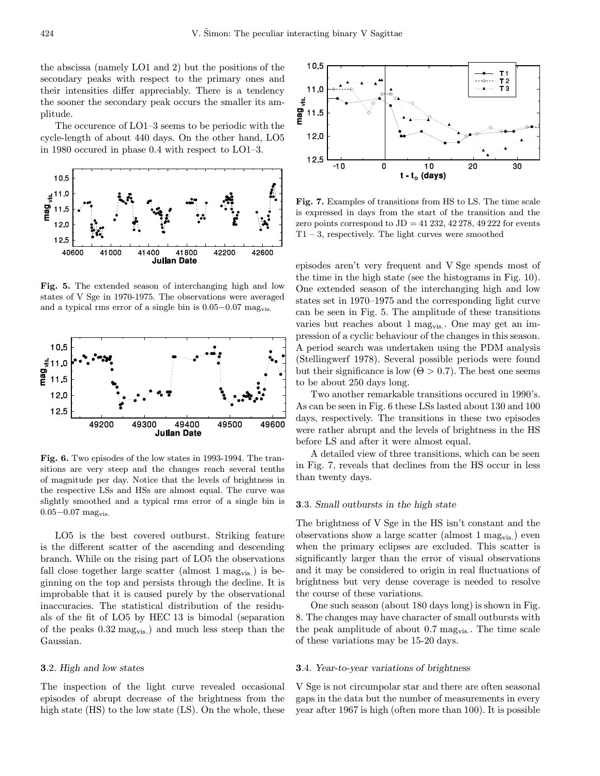the abscissa (namely LO1 and 2) but the positions of the secondary peaks with respect to the primary ones and their intensities differ appreciably. There is a tendency the sooner the secondary peak occurs the smaller its amplitude.

The occurence of LO1–3 seems to be periodic with the cycle-length of about 440 days. On the other hand, LO5 in 1980 occured in phase 0.4 with respect to LO1–3.



Fig. 5. The extended season of interchanging high and low states of V Sge in 1970-1975. The observations were averaged and a typical rms error of a single bin is  $0.05-0.07$  mag<sub>vis</sub>.



Fig. 6. Two episodes of the low states in 1993-1994. The transitions are very steep and the changes reach several tenths of magnitude per day. Notice that the levels of brightness in the respective LSs and HSs are almost equal. The curve was slightly smoothed and a typical rms error of a single bin is 0.05−0.07 magvis.

LO5 is the best covered outburst. Striking feature is the different scatter of the ascending and descending branch. While on the rising part of LO5 the observations fall close together large scatter (almost  $1 \text{ mag}_{\text{vis}}$ ) is beginning on the top and persists through the decline. It is improbable that it is caused purely by the observational inaccuracies. The statistical distribution of the residuals of the fit of LO5 by HEC 13 is bimodal (separation of the peaks 0.32 magvis.) and much less steep than the Gaussian.

# 3.2. High and low states

The inspection of the light curve revealed occasional episodes of abrupt decrease of the brightness from the high state (HS) to the low state (LS). On the whole, these



Fig. 7. Examples of transitions from HS to LS. The time scale is expressed in days from the start of the transition and the zero points correspond to  $JD = 41232, 42278, 49222$  for events  $T1 - 3$ , respectively. The light curves were smoothed

episodes aren't very frequent and V Sge spends most of the time in the high state (see the histograms in Fig. 10). One extended season of the interchanging high and low states set in 1970–1975 and the corresponding light curve can be seen in Fig. 5. The amplitude of these transitions varies but reaches about 1 magvis.. One may get an impression of a cyclic behaviour of the changes in this season. A period search was undertaken using the PDM analysis (Stellingwerf 1978). Several possible periods were found but their significance is low  $(\Theta > 0.7)$ . The best one seems to be about 250 days long.

Two another remarkable transitions occured in 1990's. As can be seen in Fig. 6 these LSs lasted about 130 and 100 days, respectively. The transitions in these two episodes were rather abrupt and the levels of brightness in the HS before LS and after it were almost equal.

A detailed view of three transitions, which can be seen in Fig. 7, reveals that declines from the HS occur in less than twenty days.

## 3.3. Small outbursts in the high state

The brightness of V Sge in the HS isn't constant and the observations show a large scatter (almost  $1 \text{ mag}_{\text{vis}}$ ) even when the primary eclipses are excluded. This scatter is significantly larger than the error of visual observations and it may be considered to origin in real fluctuations of brightness but very dense coverage is needed to resolve the course of these variations.

One such season (about 180 days long) is shown in Fig. 8. The changes may have character of small outbursts with the peak amplitude of about  $0.7 \text{ mag}$ <sub>vis</sub>. The time scale of these variations may be 15-20 days.

## 3.4. Year-to-year variations of brightness

V Sge is not circumpolar star and there are often seasonal gaps in the data but the number of measurements in every year after 1967 is high (often more than 100). It is possible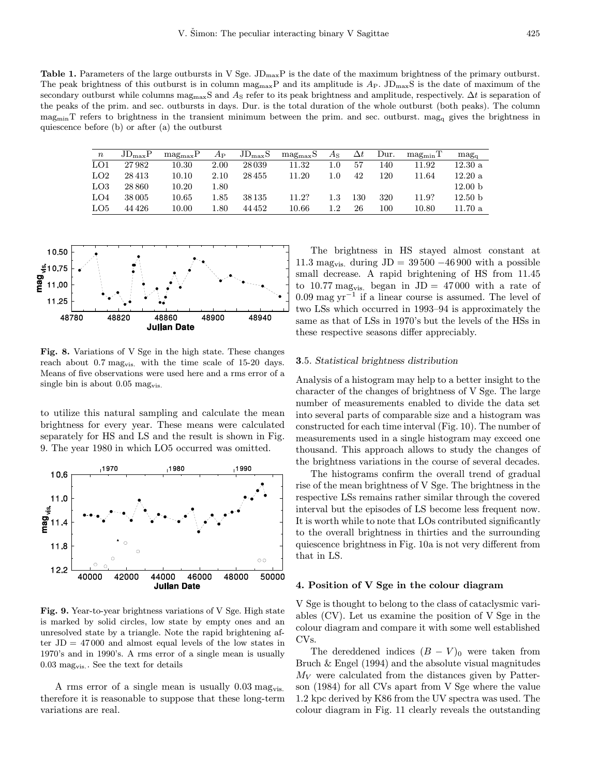**Table 1.** Parameters of the large outbursts in V Sge.  $JD_{max}P$  is the date of the maximum brightness of the primary outburst. The peak brightness of this outburst is in column mag<sub>max</sub>P and its amplitude is  $A_P$ . JD<sub>max</sub>S is the date of maximum of the secondary outburst while columns mag<sub>max</sub>S and A<sub>S</sub> refer to its peak brightness and amplitude, respectively.  $\Delta t$  is separation of the peaks of the prim. and sec. outbursts in days. Dur. is the total duration of the whole outburst (both peaks). The column magminT refers to brightness in the transient minimum between the prim. and sec. outburst. mag<sup>q</sup> gives the brightness in quiescence before (b) or after (a) the outburst

| $\boldsymbol{n}$ | $JD_{\text{max}}P$ | $mag_{max}P$ | Aр   | $JD_{\text{max}}S$ | $mag_{max}S$ | $A_{\rm S}$ | $\Delta t$ | Dur. | $\text{mag}_{\text{min}}T$ | mag <sub>0</sub>    |
|------------------|--------------------|--------------|------|--------------------|--------------|-------------|------------|------|----------------------------|---------------------|
| LO1              | 27982              | 10.30        | 2.00 | 28 0 39            | 11.32        | 1.0         | 57         | 140  | 11.92                      | $12.30 \mathrm{~a}$ |
| LO2              | 28413              | 10.10        | 2.10 | 28455              | 11.20        | $1.0\,$     | 42         | 120  | 11.64                      | 12.20a              |
| LO3              | 28.860             | 10.20        | 1.80 |                    |              |             |            |      |                            | 12.00 <sub>b</sub>  |
| LO4              | 38 005             | $10.65\,$    | 1.85 | 38 1 35            | 11.2?        | $1.3\,$     | 130        | 320  | 11.9?                      | 12.50 <sub>b</sub>  |
| LO5              | 44 4 26            | 10.00        | 1.80 | 44 4 5 2           | 10.66        | 1.2         | 26         | LOO  | $10.80\,$                  | $11.70\;{\rm a}$    |



Fig. 8. Variations of V Sge in the high state. These changes reach about 0.7 mag<sub>vis.</sub> with the time scale of 15-20 days. Means of five observations were used here and a rms error of a single bin is about  $0.05$  mag<sub>vis</sub>.

to utilize this natural sampling and calculate the mean brightness for every year. These means were calculated separately for HS and LS and the result is shown in Fig. 9. The year 1980 in which LO5 occurred was omitted.



Fig. 9. Year-to-year brightness variations of V Sge. High state is marked by solid circles, low state by empty ones and an unresolved state by a triangle. Note the rapid brightening after  $JD = 47000$  and almost equal levels of the low states in 1970's and in 1990's. A rms error of a single mean is usually 0.03 magvis.. See the text for details

A rms error of a single mean is usually 0.03 magvis. therefore it is reasonable to suppose that these long-term variations are real.

The brightness in HS stayed almost constant at 11.3 mag<sub>vis.</sub> during JD = 39 500  $-46\,900$  with a possible small decrease. A rapid brightening of HS from 11.45 to 10.77 mag<sub>vis.</sub> began in  $JD = 47000$  with a rate of 0.09 mag  $yr^{-1}$  if a linear course is assumed. The level of two LSs which occurred in 1993–94 is approximately the same as that of LSs in 1970's but the levels of the HSs in these respective seasons differ appreciably.

#### 3.5. Statistical brightness distribution

Analysis of a histogram may help to a better insight to the character of the changes of brightness of V Sge. The large number of measurements enabled to divide the data set into several parts of comparable size and a histogram was constructed for each time interval (Fig. 10). The number of measurements used in a single histogram may exceed one thousand. This approach allows to study the changes of the brightness variations in the course of several decades.

The histograms confirm the overall trend of gradual rise of the mean brightness of V Sge. The brightness in the respective LSs remains rather similar through the covered interval but the episodes of LS become less frequent now. It is worth while to note that LOs contributed significantly to the overall brightness in thirties and the surrounding quiescence brightness in Fig. 10a is not very different from that in LS.

#### 4. Position of V Sge in the colour diagram

V Sge is thought to belong to the class of cataclysmic variables (CV). Let us examine the position of V Sge in the colour diagram and compare it with some well established CVs.

The dereddened indices  $(B - V)_0$  were taken from Bruch & Engel (1994) and the absolute visual magnitudes  $M_V$  were calculated from the distances given by Patterson (1984) for all CVs apart from V Sge where the value 1.2 kpc derived by K86 from the UV spectra was used. The colour diagram in Fig. 11 clearly reveals the outstanding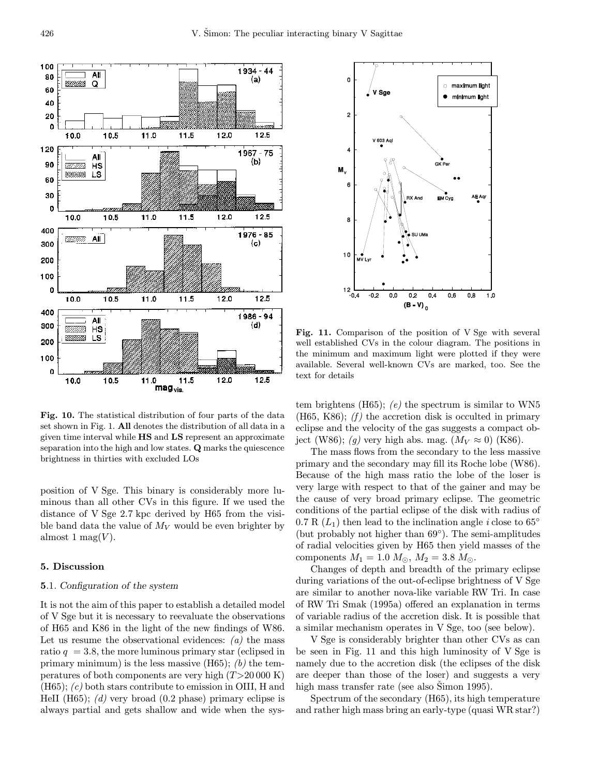

Fig. 10. The statistical distribution of four parts of the data set shown in Fig. 1. All denotes the distribution of all data in a given time interval while HS and LS represent an approximate separation into the high and low states. Q marks the quiescence brightness in thirties with excluded LOs

position of V Sge. This binary is considerably more luminous than all other CVs in this figure. If we used the distance of V Sge 2.7 kpc derived by H65 from the visible band data the value of  $M_V$  would be even brighter by almost 1 mag $(V)$ .

# 5. Discussion

## 5.1. Configuration of the system

It is not the aim of this paper to establish a detailed model of V Sge but it is necessary to reevaluate the observations of H65 and K86 in the light of the new findings of W86. Let us resume the observational evidences:  $(a)$  the mass ratio  $q = 3.8$ , the more luminous primary star (eclipsed in primary minimum) is the less massive  $(H65)$ ; (b) the temperatures of both components are very high  $(T>20000 \text{ K})$ (H65); (c) both stars contribute to emission in OIII, H and HeII (H65); (d) very broad (0.2 phase) primary eclipse is always partial and gets shallow and wide when the sys-



Fig. 11. Comparison of the position of V Sge with several well established CVs in the colour diagram. The positions in the minimum and maximum light were plotted if they were available. Several well-known CVs are marked, too. See the text for details

tem brightens (H65); (e) the spectrum is similar to WN5 (H65, K86);  $(f)$  the accretion disk is occulted in primary eclipse and the velocity of the gas suggests a compact object (W86); (g) very high abs. mag.  $(M_V \approx 0)$  (K86).

The mass flows from the secondary to the less massive primary and the secondary may fill its Roche lobe (W86). Because of the high mass ratio the lobe of the loser is very large with respect to that of the gainer and may be the cause of very broad primary eclipse. The geometric conditions of the partial eclipse of the disk with radius of 0.7 R  $(L_1)$  then lead to the inclination angle *i* close to 65<sup>°</sup> (but probably not higher than  $69°$ ). The semi-amplitudes of radial velocities given by H65 then yield masses of the components  $M_1 = 1.0 M_{\odot}$ ,  $M_2 = 3.8 M_{\odot}$ .

Changes of depth and breadth of the primary eclipse during variations of the out-of-eclipse brightness of V Sge are similar to another nova-like variable RW Tri. In case of RW Tri Smak (1995a) offered an explanation in terms of variable radius of the accretion disk. It is possible that a similar mechanism operates in V Sge, too (see below).

V Sge is considerably brighter than other CVs as can be seen in Fig. 11 and this high luminosity of V Sge is namely due to the accretion disk (the eclipses of the disk are deeper than those of the loser) and suggests a very high mass transfer rate (see also  $\rm Simon$  1995).

Spectrum of the secondary (H65), its high temperature and rather high mass bring an early-type (quasi WR star?)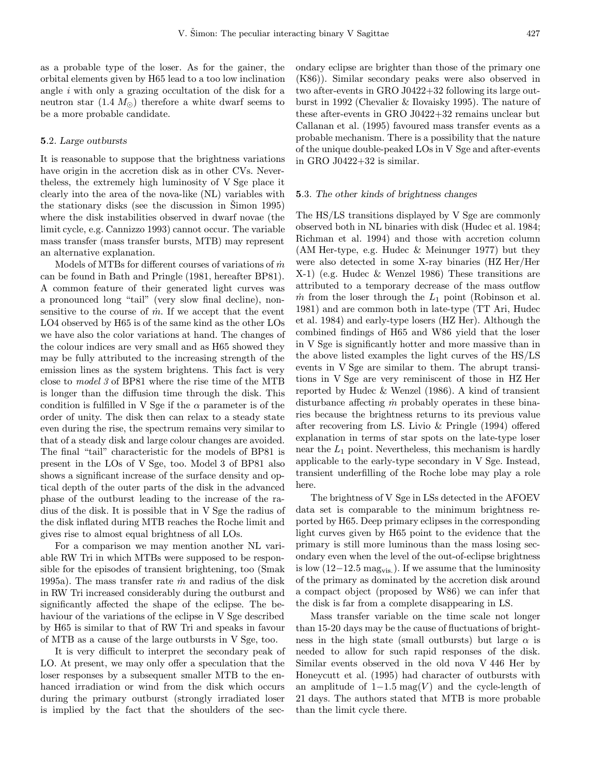as a probable type of the loser. As for the gainer, the orbital elements given by H65 lead to a too low inclination angle i with only a grazing occultation of the disk for a neutron star  $(1.4 M_{\odot})$  therefore a white dwarf seems to be a more probable candidate.

## 5.2. Large outbursts

It is reasonable to suppose that the brightness variations have origin in the accretion disk as in other CVs. Nevertheless, the extremely high luminosity of V Sge place it clearly into the area of the nova-like (NL) variables with the stationary disks (see the discussion in Simon 1995) where the disk instabilities observed in dwarf novae (the limit cycle, e.g. Cannizzo 1993) cannot occur. The variable mass transfer (mass transfer bursts, MTB) may represent an alternative explanation.

Models of MTBs for different courses of variations of  $\dot{m}$ can be found in Bath and Pringle (1981, hereafter BP81). A common feature of their generated light curves was a pronounced long "tail" (very slow final decline), nonsensitive to the course of  $\dot{m}$ . If we accept that the event LO4 observed by H65 is of the same kind as the other LOs we have also the color variations at hand. The changes of the colour indices are very small and as H65 showed they may be fully attributed to the increasing strength of the emission lines as the system brightens. This fact is very close to model 3 of BP81 where the rise time of the MTB is longer than the diffusion time through the disk. This condition is fulfilled in V Sge if the  $\alpha$  parameter is of the order of unity. The disk then can relax to a steady state even during the rise, the spectrum remains very similar to that of a steady disk and large colour changes are avoided. The final "tail" characteristic for the models of BP81 is present in the LOs of V Sge, too. Model 3 of BP81 also shows a significant increase of the surface density and optical depth of the outer parts of the disk in the advanced phase of the outburst leading to the increase of the radius of the disk. It is possible that in V Sge the radius of the disk inflated during MTB reaches the Roche limit and gives rise to almost equal brightness of all LOs.

For a comparison we may mention another NL variable RW Tri in which MTBs were supposed to be responsible for the episodes of transient brightening, too (Smak 1995a). The mass transfer rate  $\dot{m}$  and radius of the disk in RW Tri increased considerably during the outburst and significantly affected the shape of the eclipse. The behaviour of the variations of the eclipse in V Sge described by H65 is similar to that of RW Tri and speaks in favour of MTB as a cause of the large outbursts in V Sge, too.

It is very difficult to interpret the secondary peak of LO. At present, we may only offer a speculation that the loser responses by a subsequent smaller MTB to the enhanced irradiation or wind from the disk which occurs during the primary outburst (strongly irradiated loser is implied by the fact that the shoulders of the secondary eclipse are brighter than those of the primary one (K86)). Similar secondary peaks were also observed in two after-events in GRO J0422+32 following its large outburst in 1992 (Chevalier & Ilovaisky 1995). The nature of these after-events in GRO J0422+32 remains unclear but Callanan et al. (1995) favoured mass transfer events as a probable mechanism. There is a possibility that the nature of the unique double-peaked LOs in V Sge and after-events in GRO J0422+32 is similar.

# 5.3. The other kinds of brightness changes

The HS/LS transitions displayed by V Sge are commonly observed both in NL binaries with disk (Hudec et al. 1984; Richman et al. 1994) and those with accretion column (AM Her-type, e.g. Hudec & Meinunger 1977) but they were also detected in some X-ray binaries (HZ Her/Her X-1) (e.g. Hudec & Wenzel 1986) These transitions are attributed to a temporary decrease of the mass outflow  $\dot{m}$  from the loser through the  $L_1$  point (Robinson et al. 1981) and are common both in late-type (TT Ari, Hudec et al. 1984) and early-type losers (HZ Her). Although the combined findings of H65 and W86 yield that the loser in V Sge is significantly hotter and more massive than in the above listed examples the light curves of the HS/LS events in V Sge are similar to them. The abrupt transitions in V Sge are very reminiscent of those in HZ Her reported by Hudec & Wenzel (1986). A kind of transient disturbance affecting  $\dot{m}$  probably operates in these binaries because the brightness returns to its previous value after recovering from LS. Livio & Pringle (1994) offered explanation in terms of star spots on the late-type loser near the  $L_1$  point. Nevertheless, this mechanism is hardly applicable to the early-type secondary in V Sge. Instead, transient underfilling of the Roche lobe may play a role here.

The brightness of V Sge in LSs detected in the AFOEV data set is comparable to the minimum brightness reported by H65. Deep primary eclipses in the corresponding light curves given by H65 point to the evidence that the primary is still more luminous than the mass losing secondary even when the level of the out-of-eclipse brightness is low  $(12-12.5 \text{ mag}_{\text{vis}})$ . If we assume that the luminosity of the primary as dominated by the accretion disk around a compact object (proposed by W86) we can infer that the disk is far from a complete disappearing in LS.

Mass transfer variable on the time scale not longer than 15-20 days may be the cause of fluctuations of brightness in the high state (small outbursts) but large  $\alpha$  is needed to allow for such rapid responses of the disk. Similar events observed in the old nova V 446 Her by Honeycutt et al. (1995) had character of outbursts with an amplitude of  $1-1.5 \text{ mag}(V)$  and the cycle-length of 21 days. The authors stated that MTB is more probable than the limit cycle there.